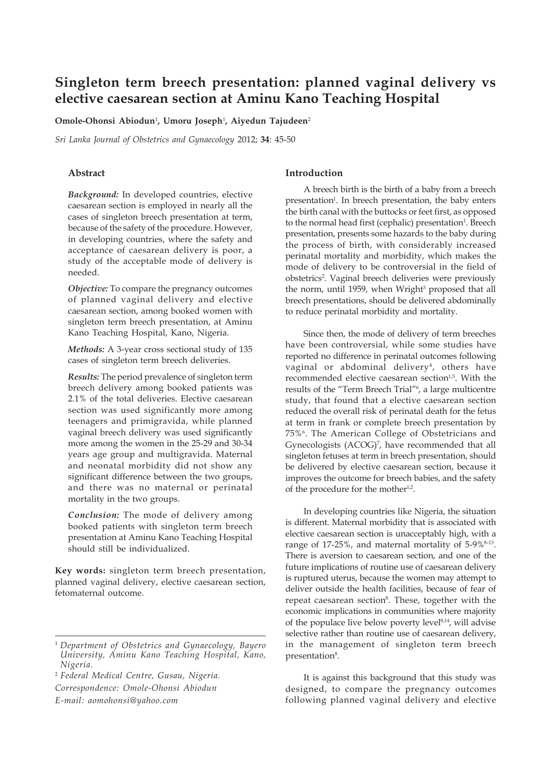# **Singleton term breech presentation: planned vaginal delivery vs elective caesarean section at Aminu Kano Teaching Hospital**

**Omole-Ohonsi Abiodun**<sup>1</sup> **, Umoru Joseph**<sup>1</sup> **, Aiyedun Tajudeen**<sup>2</sup>

*Sri Lanka Journal of Obstetrics and Gynaecology* 2012; **34**: 45-50

# **Abstract**

*Background:* In developed countries, elective caesarean section is employed in nearly all the cases of singleton breech presentation at term, because of the safety of the procedure. However, in developing countries, where the safety and acceptance of caesarean delivery is poor, a study of the acceptable mode of delivery is needed.

*Objective:* To compare the pregnancy outcomes of planned vaginal delivery and elective caesarean section, among booked women with singleton term breech presentation, at Aminu Kano Teaching Hospital, Kano, Nigeria.

*Methods:* A 3-year cross sectional study of 135 cases of singleton term breech deliveries.

*Results:* The period prevalence of singleton term breech delivery among booked patients was 2.1% of the total deliveries. Elective caesarean section was used significantly more among teenagers and primigravida, while planned vaginal breech delivery was used significantly more among the women in the 25-29 and 30-34 years age group and multigravida. Maternal and neonatal morbidity did not show any significant difference between the two groups, and there was no maternal or perinatal mortality in the two groups.

*Conclusion:* The mode of delivery among booked patients with singleton term breech presentation at Aminu Kano Teaching Hospital should still be individualized.

**Key words:** singleton term breech presentation, planned vaginal delivery, elective caesarean section, fetomaternal outcome.

<sup>2</sup> *Federal Medical Centre, Gusau, Nigeria.*

*Correspondence: Omole-Ohonsi Abiodun*

*E-mail: aomohonsi@yahoo.com*

# **Introduction**

A breech birth is the birth of a baby from a breech presentation<sup>1</sup>. In breech presentation, the baby enters the birth canal with the buttocks or feet first, as opposed to the normal head first (cephalic) presentation<sup>1</sup>. Breech presentation, presents some hazards to the baby during the process of birth, with considerably increased perinatal mortality and morbidity, which makes the mode of delivery to be controversial in the field of obstetrics<sup>2</sup>. Vaginal breech deliveries were previously the norm, until 1959, when Wright<sup>3</sup> proposed that all breech presentations, should be delivered abdominally to reduce perinatal morbidity and mortality.

Since then, the mode of delivery of term breeches have been controversial, while some studies have reported no difference in perinatal outcomes following vaginal or abdominal delivery<sup>4</sup>, others have recommended elective caesarean section<sup>1,5</sup>. With the results of the "Term Breech Trial"6 , a large multicentre study, that found that a elective caesarean section reduced the overall risk of perinatal death for the fetus at term in frank or complete breech presentation by 75%6. The American College of Obstetricians and Gynecologists (ACOG)<sup>7</sup>, have recommended that all singleton fetuses at term in breech presentation, should be delivered by elective caesarean section, because it improves the outcome for breech babies, and the safety of the procedure for the mother<sup>1,2</sup>.

In developing countries like Nigeria, the situation is different. Maternal morbidity that is associated with elective caesarean section is unacceptably high, with a range of 17-25%, and maternal mortality of 5-9%<sup>8-13</sup>. There is aversion to caesarean section, and one of the future implications of routine use of caesarean delivery is ruptured uterus, because the women may attempt to deliver outside the health facilities, because of fear of repeat caesarean section<sup>8</sup>. These, together with the economic implications in communities where majority of the populace live below poverty level<sup>8,14</sup>, will advise selective rather than routine use of caesarean delivery, in the management of singleton term breech presentation<sup>8</sup>.

It is against this background that this study was designed, to compare the pregnancy outcomes following planned vaginal delivery and elective

<sup>1</sup> *Department of Obstetrics and Gynaecology, Bayero University, Aminu Kano Teaching Hospital, Kano, Nigeria.*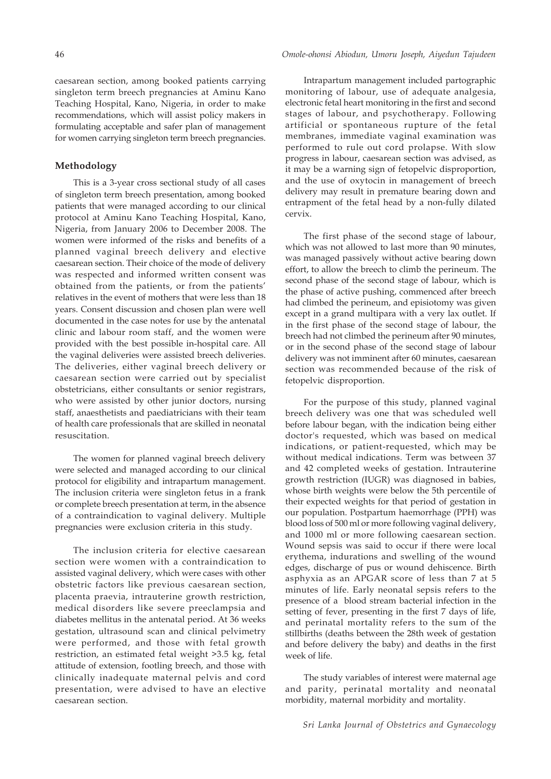caesarean section, among booked patients carrying singleton term breech pregnancies at Aminu Kano Teaching Hospital, Kano, Nigeria, in order to make recommendations, which will assist policy makers in formulating acceptable and safer plan of management for women carrying singleton term breech pregnancies.

# **Methodology**

This is a 3-year cross sectional study of all cases of singleton term breech presentation, among booked patients that were managed according to our clinical protocol at Aminu Kano Teaching Hospital, Kano, Nigeria, from January 2006 to December 2008. The women were informed of the risks and benefits of a planned vaginal breech delivery and elective caesarean section. Their choice of the mode of delivery was respected and informed written consent was obtained from the patients, or from the patients' relatives in the event of mothers that were less than 18 years. Consent discussion and chosen plan were well documented in the case notes for use by the antenatal clinic and labour room staff, and the women were provided with the best possible in-hospital care. All the vaginal deliveries were assisted breech deliveries. The deliveries, either vaginal breech delivery or caesarean section were carried out by specialist obstetricians, either consultants or senior registrars, who were assisted by other junior doctors, nursing staff, anaesthetists and paediatricians with their team of health care professionals that are skilled in neonatal resuscitation.

The women for planned vaginal breech delivery were selected and managed according to our clinical protocol for eligibility and intrapartum management. The inclusion criteria were singleton fetus in a frank or complete breech presentation at term, in the absence of a contraindication to vaginal delivery. Multiple pregnancies were exclusion criteria in this study.

The inclusion criteria for elective caesarean section were women with a contraindication to assisted vaginal delivery, which were cases with other obstetric factors like previous caesarean section, placenta praevia, intrauterine growth restriction, medical disorders like severe preeclampsia and diabetes mellitus in the antenatal period. At 36 weeks gestation, ultrasound scan and clinical pelvimetry were performed, and those with fetal growth restriction, an estimated fetal weight >3.5 kg, fetal attitude of extension, footling breech, and those with clinically inadequate maternal pelvis and cord presentation, were advised to have an elective caesarean section.

Intrapartum management included partographic monitoring of labour, use of adequate analgesia, electronic fetal heart monitoring in the first and second stages of labour, and psychotherapy. Following artificial or spontaneous rupture of the fetal membranes, immediate vaginal examination was performed to rule out cord prolapse. With slow progress in labour, caesarean section was advised, as it may be a warning sign of fetopelvic disproportion, and the use of oxytocin in management of breech delivery may result in premature bearing down and entrapment of the fetal head by a non-fully dilated cervix.

The first phase of the second stage of labour, which was not allowed to last more than 90 minutes, was managed passively without active bearing down effort, to allow the breech to climb the perineum. The second phase of the second stage of labour, which is the phase of active pushing, commenced after breech had climbed the perineum, and episiotomy was given except in a grand multipara with a very lax outlet. If in the first phase of the second stage of labour, the breech had not climbed the perineum after 90 minutes, or in the second phase of the second stage of labour delivery was not imminent after 60 minutes, caesarean section was recommended because of the risk of fetopelvic disproportion.

For the purpose of this study, planned vaginal breech delivery was one that was scheduled well before labour began, with the indication being either doctor's requested, which was based on medical indications, or patient-requested, which may be without medical indications. Term was between 37 and 42 completed weeks of gestation. Intrauterine growth restriction (IUGR) was diagnosed in babies, whose birth weights were below the 5th percentile of their expected weights for that period of gestation in our population. Postpartum haemorrhage (PPH) was blood loss of 500 ml or more following vaginal delivery, and 1000 ml or more following caesarean section. Wound sepsis was said to occur if there were local erythema, indurations and swelling of the wound edges, discharge of pus or wound dehiscence. Birth asphyxia as an APGAR score of less than 7 at 5 minutes of life. Early neonatal sepsis refers to the presence of a blood stream bacterial infection in the setting of fever, presenting in the first 7 days of life, and perinatal mortality refers to the sum of the stillbirths (deaths between the 28th week of gestation and before delivery the baby) and deaths in the first week of life.

The study variables of interest were maternal age and parity, perinatal mortality and neonatal morbidity, maternal morbidity and mortality.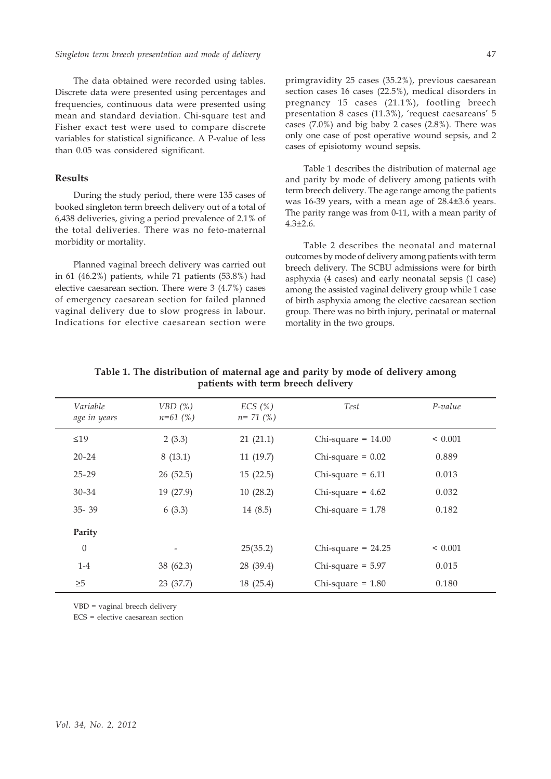The data obtained were recorded using tables. Discrete data were presented using percentages and frequencies, continuous data were presented using mean and standard deviation. Chi-square test and Fisher exact test were used to compare discrete variables for statistical significance. A P-value of less than 0.05 was considered significant.

# **Results**

During the study period, there were 135 cases of booked singleton term breech delivery out of a total of 6,438 deliveries, giving a period prevalence of 2.1% of the total deliveries. There was no feto-maternal morbidity or mortality.

Planned vaginal breech delivery was carried out in 61 (46.2%) patients, while 71 patients (53.8%) had elective caesarean section. There were 3 (4.7%) cases of emergency caesarean section for failed planned vaginal delivery due to slow progress in labour. Indications for elective caesarean section were

primgravidity 25 cases (35.2%), previous caesarean section cases 16 cases (22.5%), medical disorders in pregnancy 15 cases (21.1%), footling breech presentation 8 cases (11.3%), 'request caesareans' 5 cases (7.0%) and big baby 2 cases (2.8%). There was only one case of post operative wound sepsis, and 2 cases of episiotomy wound sepsis.

Table 1 describes the distribution of maternal age and parity by mode of delivery among patients with term breech delivery. The age range among the patients was 16-39 years, with a mean age of 28.4±3.6 years. The parity range was from 0-11, with a mean parity of  $4.3 \pm 2.6$ .

Table 2 describes the neonatal and maternal outcomes by mode of delivery among patients with term breech delivery. The SCBU admissions were for birth asphyxia (4 cases) and early neonatal sepsis (1 case) among the assisted vaginal delivery group while 1 case of birth asphyxia among the elective caesarean section group. There was no birth injury, perinatal or maternal mortality in the two groups.

| Variable<br>age in years | VBD(%)<br>$n=61$ (%) | ECS(%)<br>$n = 71$ (%) | Test                 | $P-value$   |
|--------------------------|----------------------|------------------------|----------------------|-------------|
| $\leq 19$                | 2(3.3)               | 21(21.1)               | Chi-square = $14.00$ | ${}< 0.001$ |
| $20 - 24$                | 8(13.1)              | 11(19.7)               | Chi-square = $0.02$  | 0.889       |
| $25 - 29$                | 26(52.5)             | 15(22.5)               | Chi-square = $6.11$  | 0.013       |
| 30-34                    | 19(27.9)             | 10(28.2)               | Chi-square = $4.62$  | 0.032       |
| $35 - 39$                | 6(3.3)               | 14(8.5)                | Chi-square $= 1.78$  | 0.182       |
| Parity                   |                      |                        |                      |             |
| $\theta$                 |                      | 25(35.2)               | Chi-square = $24.25$ | ${}< 0.001$ |
| $1-4$                    | 38 (62.3)            | 28 (39.4)              | Chi-square $= 5.97$  | 0.015       |
| $\geq 5$                 | 23 (37.7)            | 18 (25.4)              | Chi-square $= 1.80$  | 0.180       |

**Table 1. The distribution of maternal age and parity by mode of delivery among patients with term breech delivery**

VBD = vaginal breech delivery

ECS = elective caesarean section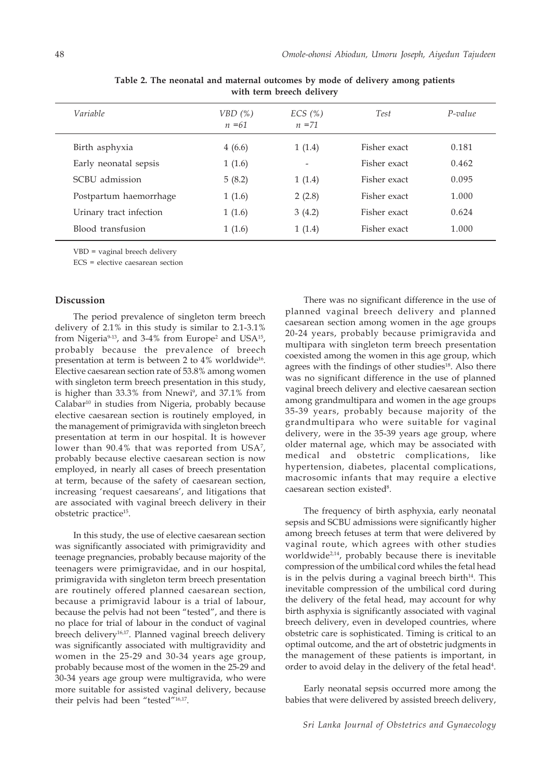| Variable                | VBD (%)<br>$n = 61$ | ECS(%)<br>$n = 71$ | Test         | $P-value$ |
|-------------------------|---------------------|--------------------|--------------|-----------|
| Birth asphyxia          | 4(6.6)              | 1(1.4)             | Fisher exact | 0.181     |
| Early neonatal sepsis   | 1(1.6)              |                    | Fisher exact | 0.462     |
| SCBU admission          | 5(8.2)              | 1(1.4)             | Fisher exact | 0.095     |
| Postpartum haemorrhage  | 1(1.6)              | 2(2.8)             | Fisher exact | 1.000     |
| Urinary tract infection | 1(1.6)              | 3(4.2)             | Fisher exact | 0.624     |
| Blood transfusion       | 1(1.6)              | 1(1.4)             | Fisher exact | 1.000     |

**Table 2. The neonatal and maternal outcomes by mode of delivery among patients with term breech delivery**

VBD = vaginal breech delivery

ECS = elective caesarean section

# **Discussion**

The period prevalence of singleton term breech delivery of 2.1% in this study is similar to 2.1-3.1% from Nigeria $9-13$ , and 3-4% from Europe<sup>2</sup> and USA<sup>15</sup>, probably because the prevalence of breech presentation at term is between 2 to 4% worldwide16. Elective caesarean section rate of 53.8% among women with singleton term breech presentation in this study, is higher than 33.3% from Nnewi<sup>9</sup>, and 37.1% from Calabar<sup>10</sup> in studies from Nigeria, probably because elective caesarean section is routinely employed, in the management of primigravida with singleton breech presentation at term in our hospital. It is however lower than 90.4% that was reported from  $\mathrm{USA}^{\mathrm{7}},$ probably because elective caesarean section is now employed, in nearly all cases of breech presentation at term, because of the safety of caesarean section, increasing 'request caesareans', and litigations that are associated with vaginal breech delivery in their obstetric practice15.

In this study, the use of elective caesarean section was significantly associated with primigravidity and teenage pregnancies, probably because majority of the teenagers were primigravidae, and in our hospital, primigravida with singleton term breech presentation are routinely offered planned caesarean section, because a primigravid labour is a trial of labour, because the pelvis had not been "tested", and there is no place for trial of labour in the conduct of vaginal breech delivery<sup>16,17</sup>. Planned vaginal breech delivery was significantly associated with multigravidity and women in the 25-29 and 30-34 years age group, probably because most of the women in the 25-29 and 30-34 years age group were multigravida, who were more suitable for assisted vaginal delivery, because their pelvis had been "tested"16,17.

There was no significant difference in the use of planned vaginal breech delivery and planned caesarean section among women in the age groups 20-24 years, probably because primigravida and multipara with singleton term breech presentation coexisted among the women in this age group, which agrees with the findings of other studies<sup>18</sup>. Also there was no significant difference in the use of planned vaginal breech delivery and elective caesarean section among grandmultipara and women in the age groups 35-39 years, probably because majority of the grandmultipara who were suitable for vaginal delivery, were in the 35-39 years age group, where older maternal age, which may be associated with medical and obstetric complications, like hypertension, diabetes, placental complications, macrosomic infants that may require a elective caesarean section existed<sup>8</sup>.

The frequency of birth asphyxia, early neonatal sepsis and SCBU admissions were significantly higher among breech fetuses at term that were delivered by vaginal route, which agrees with other studies worldwide<sup> $2,14$ </sup>, probably because there is inevitable compression of the umbilical cord whiles the fetal head is in the pelvis during a vaginal breech birth $14$ . This inevitable compression of the umbilical cord during the delivery of the fetal head, may account for why birth asphyxia is significantly associated with vaginal breech delivery, even in developed countries, where obstetric care is sophisticated. Timing is critical to an optimal outcome, and the art of obstetric judgments in the management of these patients is important, in order to avoid delay in the delivery of the fetal head<sup>4</sup>.

Early neonatal sepsis occurred more among the babies that were delivered by assisted breech delivery,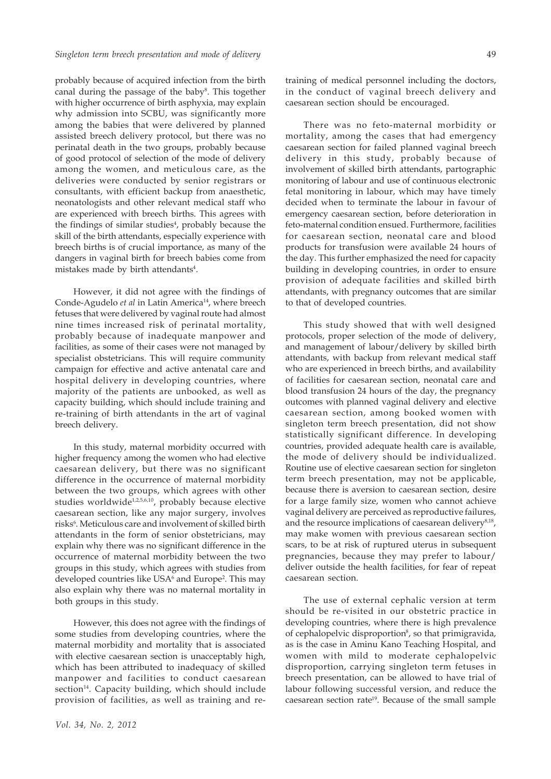probably because of acquired infection from the birth canal during the passage of the baby<sup>8</sup>. This together with higher occurrence of birth asphyxia, may explain why admission into SCBU, was significantly more among the babies that were delivered by planned assisted breech delivery protocol, but there was no perinatal death in the two groups, probably because of good protocol of selection of the mode of delivery among the women, and meticulous care, as the deliveries were conducted by senior registrars or consultants, with efficient backup from anaesthetic, neonatologists and other relevant medical staff who are experienced with breech births. This agrees with the findings of similar studies<sup>4</sup>, probably because the skill of the birth attendants, especially experience with breech births is of crucial importance, as many of the dangers in vaginal birth for breech babies come from mistakes made by birth attendants<sup>4</sup>.

However, it did not agree with the findings of Conde-Agudelo *et al* in Latin America<sup>14</sup>, where breech fetuses that were delivered by vaginal route had almost nine times increased risk of perinatal mortality, probably because of inadequate manpower and facilities, as some of their cases were not managed by specialist obstetricians. This will require community campaign for effective and active antenatal care and hospital delivery in developing countries, where majority of the patients are unbooked, as well as capacity building, which should include training and re-training of birth attendants in the art of vaginal breech delivery.

In this study, maternal morbidity occurred with higher frequency among the women who had elective caesarean delivery, but there was no significant difference in the occurrence of maternal morbidity between the two groups, which agrees with other studies worldwide<sup>1,2,5,6,10</sup>, probably because elective caesarean section, like any major surgery, involves risks<sup>6</sup>. Meticulous care and involvement of skilled birth attendants in the form of senior obstetricians, may explain why there was no significant difference in the occurrence of maternal morbidity between the two groups in this study, which agrees with studies from developed countries like USA<sup>6</sup> and Europe<sup>2</sup>. This may also explain why there was no maternal mortality in both groups in this study.

However, this does not agree with the findings of some studies from developing countries, where the maternal morbidity and mortality that is associated with elective caesarean section is unacceptably high, which has been attributed to inadequacy of skilled manpower and facilities to conduct caesarean section<sup>14</sup>. Capacity building, which should include provision of facilities, as well as training and re-

There was no feto-maternal morbidity or mortality, among the cases that had emergency caesarean section for failed planned vaginal breech delivery in this study, probably because of involvement of skilled birth attendants, partographic monitoring of labour and use of continuous electronic fetal monitoring in labour, which may have timely decided when to terminate the labour in favour of emergency caesarean section, before deterioration in feto-maternal condition ensued. Furthermore, facilities for caesarean section, neonatal care and blood products for transfusion were available 24 hours of the day. This further emphasized the need for capacity building in developing countries, in order to ensure provision of adequate facilities and skilled birth attendants, with pregnancy outcomes that are similar to that of developed countries.

This study showed that with well designed protocols, proper selection of the mode of delivery, and management of labour/delivery by skilled birth attendants, with backup from relevant medical staff who are experienced in breech births, and availability of facilities for caesarean section, neonatal care and blood transfusion 24 hours of the day, the pregnancy outcomes with planned vaginal delivery and elective caesarean section, among booked women with singleton term breech presentation, did not show statistically significant difference. In developing countries, provided adequate health care is available, the mode of delivery should be individualized. Routine use of elective caesarean section for singleton term breech presentation, may not be applicable, because there is aversion to caesarean section, desire for a large family size, women who cannot achieve vaginal delivery are perceived as reproductive failures, and the resource implications of caesarean delivery<sup>8,18</sup>, may make women with previous caesarean section scars, to be at risk of ruptured uterus in subsequent pregnancies, because they may prefer to labour/ deliver outside the health facilities, for fear of repeat caesarean section.

The use of external cephalic version at term should be re-visited in our obstetric practice in developing countries, where there is high prevalence of cephalopelvic disproportion<sup>8</sup>, so that primigravida, as is the case in Aminu Kano Teaching Hospital, and women with mild to moderate cephalopelvic disproportion, carrying singleton term fetuses in breech presentation, can be allowed to have trial of labour following successful version, and reduce the caesarean section rate19. Because of the small sample